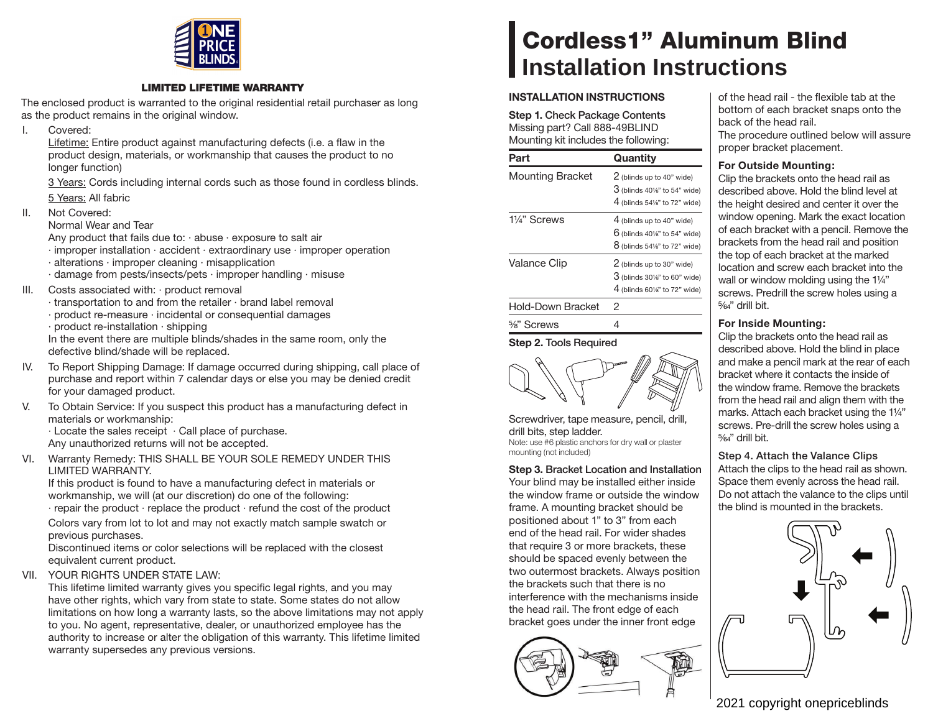

#### **LIMITED LIFETIME WARRANTY**

The enclosed product is warranted to the original residential retail purchaser as long as the product remains in the original window.

I. Covered:

Lifetime: Entire product against manufacturing defects (i.e. a flaw in the product design, materials, or workmanship that causes the product to no longer function)

 3 Years: Cords including internal cords such as those found in cordless blinds. 5 Years: All fabric

II. Not Covered:

Normal Wear and Tear

Any product that fails due to:  $\cdot$  abuse  $\cdot$  exposure to salt air

- · improper installation · accident · extraordinary use · improper operation
- · alterations · improper cleaning · misapplication
- · damage from pests/insects/pets · improper handling · misuse
- III. Costs associated with: · product removal
	- · transportation to and from the retailer · brand label removal
	- · product re-measure · incidental or consequential damages
	- · product re-installation · shipping

In the event there are multiple blinds/shades in the same room, only the defective blind/shade will be replaced.

- IV. To Report Shipping Damage: If damage occurred during shipping, call place of purchase and report within 7 calendar days or else you may be denied credit for your damaged product.
- V. To Obtain Service: If you suspect this product has a manufacturing defect in materials or workmanship:

· Locate the sales receipt · Call place of purchase. Any unauthorized returns will not be accepted.

VI. Warranty Remedy: THIS SHALL BE YOUR SOLE REMEDY UNDER THIS LIMITED WARRANTY.

If this product is found to have a manufacturing defect in materials or workmanship, we will (at our discretion) do one of the following:

· repair the product · replace the product · refund the cost of the product Colors vary from lot to lot and may not exactly match sample swatch or

previous purchases. Discontinued items or color selections will be replaced with the closest

equivalent current product.

VII. YOUR RIGHTS UNDER STATE LAW:

This lifetime limited warranty gives you specific legal rights, and you may have other rights, which vary from state to state. Some states do not allow limitations on how long a warranty lasts, so the above limitations may not apply to you. No agent, representative, dealer, or unauthorized employee has the authority to increase or alter the obligation of this warranty. This lifetime limited warranty supersedes any previous versions.

# **Cordless1" Aluminum Blind Installation Instructions**

## **INSTALLATION INSTRUCTIONS**

**Step 1. Check Package Contents** Missing part? Call 888-49BLIND Mounting kit includes the following:

| Part                    | Quantity                                                                                    |
|-------------------------|---------------------------------------------------------------------------------------------|
| <b>Mounting Bracket</b> | 2 (blinds up to 40" wide)<br>$3$ (blinds 40%" to 54" wide)<br>$4$ (blinds 54%" to 72" wide) |
| 11/4" Screws            | 4 (blinds up to 40" wide)<br>$6$ (blinds 40%" to 54" wide)<br>$8$ (blinds 54%" to 72" wide) |
| <b>Valance Clip</b>     | 2 (blinds up to 30" wide)<br>$3$ (blinds 30%" to 60" wide)<br>4 (blinds 60%" to 72" wide)   |
| Hold-Down Bracket       | 2                                                                                           |
| $\frac{5}{8}$ " Screws  |                                                                                             |

**Step 2. Tools Required**

Screwdriver, tape measure, pencil, drill, drill bits, step ladder. Note: use #6 plastic anchors for dry wall or plaster mounting (not included)

**Step 3. Bracket Location and Installation** Your blind may be installed either inside the window frame or outside the window frame. A mounting bracket should be positioned about 1" to 3" from each end of the head rail. For wider shades that require 3 or more brackets, these should be spaced evenly between the two outermost brackets. Always position the brackets such that there is no interference with the mechanisms inside the head rail. The front edge of each bracket goes under the inner front edge



of the head rail - the flexible tab at the bottom of each bracket snaps onto the back of the head rail. The procedure outlined below will assure proper bracket placement.

### **For Outside Mounting:**

Clip the brackets onto the head rail as described above. Hold the blind level at the height desired and center it over the window opening. Mark the exact location of each bracket with a pencil. Remove the brackets from the head rail and position the top of each bracket at the marked location and screw each bracket into the wall or window molding using the 11/4" screws. Predrill the screw holes using a  $5/64"$  drill bit.

## **For Inside Mounting:**

Clip the brackets onto the head rail as described above. Hold the blind in place and make a pencil mark at the rear of each bracket where it contacts the inside of the window frame. Remove the brackets from the head rail and align them with the marks. Attach each bracket using the 1¼" screws. Pre-drill the screw holes using a  $5/64$ " drill bit.

**Step 4. Attach the Valance Clips**

Attach the clips to the head rail as shown. Space them evenly across the head rail. Do not attach the valance to the clips until the blind is mounted in the brackets.